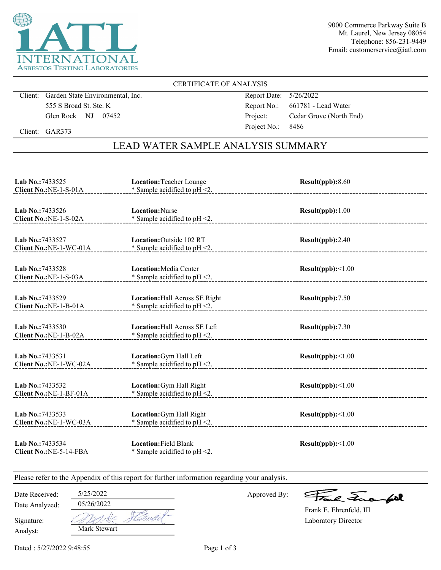

9000 Commerce Parkway Suite B Mt. Laurel, New Jersey 08054 Telephone: 856-231-9449 Email: customerservice@iatl.com

### CERTIFICATE OF ANALYSIS

Client: Garden State Environmental, Inc. 555 S Broad St. Ste. K Glen Rock NJ 07452

Report Date: 5/26/2022 Report No.: 661781 - Lead Water Project: Cedar Grove (North End) Project No.: 8486

Client: GAR373

## LEAD WATER SAMPLE ANALYSIS SUMMARY

| Lab No.: 7433525<br>Client No.: NE-1-S-01A  | Location: Teacher Lounge<br>* Sample acidified to $pH < 2$ .              | Result(ppb): 8.60        |
|---------------------------------------------|---------------------------------------------------------------------------|--------------------------|
| Lab No.: 7433526<br>Client No.: NE-1-S-02A  | <b>Location:</b> Nurse<br>* Sample acidified to pH <2.                    | Result(ppb): 1.00        |
| Lab No.: 7433527<br>Client No.: NE-1-WC-01A | <b>Location:</b> Outside 102 RT<br>$*$ Sample acidified to pH <2.         | Result(ppb):2.40         |
| Lab No.: 7433528<br>Client No.: NE-1-S-03A  | <b>Location:</b> Media Center<br>* Sample acidified to $pH < 2$ .         | Result(ppb):<1.00        |
| Lab No.:7433529<br>Client No.: NE-1-B-01A   | <b>Location:</b> Hall Across SE Right<br>* Sample acidified to $pH < 2$ . | Result(ppb):7.50         |
| Lab No.:7433530<br>Client No.: NE-1-B-02A   | <b>Location: Hall Across SE Left</b><br>* Sample acidified to $pH < 2$ .  | Result(ppb):7.30         |
| Lab No.: 7433531<br>Client No.: NE-1-WC-02A | Location: Gym Hall Left<br>* Sample acidified to $pH < 2$ .               | Result(ppb):<1.00        |
| Lab No.:7433532<br>Client No.: NE-1-BF-01A  | Location: Gym Hall Right<br>* Sample acidified to $pH < 2$ .              | $Result(ppb): \leq 1.00$ |
| Lab No.: 7433533<br>Client No.: NE-1-WC-03A | Location: Gym Hall Right<br>* Sample acidified to pH <2.                  | Result(ppb):<1.00        |
| Lab No.: 7433534<br>Client No.: NE-5-14-FBA | <b>Location: Field Blank</b><br>* Sample acidified to $pH < 2$ .          | Result(ppb):<1.00        |

Please refer to the Appendix of this report for further information regarding your analysis.

Date Received: 5/25/2022

Date Analyzed:

Approved By:

a Juan fall

Laboratory Director Frank E. Ehrenfeld, III

Analyst: Signature: 05/26/2022 \*dic Mark Stewart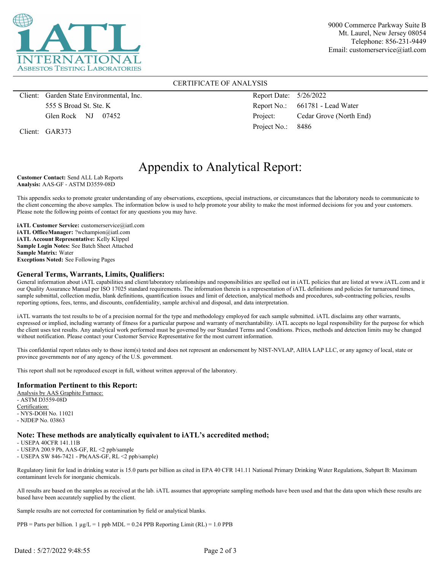

9000 Commerce Parkway Suite B Mt. Laurel, New Jersey 08054 Telephone: 856-231-9449 Email: customerservice@iatl.com

#### CERTIFICATE OF ANALYSIS

Client: Garden State Environmental, Inc. 555 S Broad St. Ste. K Glen Rock NJ 07452

Client: GAR373

Report Date: 5/26/2022 Report No.: 661781 - Lead Water Project: Cedar Grove (North End) Project No.: 8486

# Appendix to Analytical Report:

**Customer Contact:** Send ALL Lab Reports **Analysis:** AAS-GF - ASTM D3559-08D

This appendix seeks to promote greater understanding of any observations, exceptions, special instructions, or circumstances that the laboratory needs to communicate to the client concerning the above samples. The information below is used to help promote your ability to make the most informed decisions for you and your customers. Please note the following points of contact for any questions you may have.

**iATL Customer Service:** customerservice@iatl.com **iATL OfficeManager:** ?wchampion@iatl.com **iATL Account Representative:** Kelly Klippel **Sample Login Notes:** See Batch Sheet Attached **Sample Matrix:** Water **Exceptions Noted:** See Following Pages

#### **General Terms, Warrants, Limits, Qualifiers:**

General information about iATL capabilities and client/laboratory relationships and responsibilities are spelled out in iATL policies that are listed at www.iATL.com and in our Quality Assurance Manual per ISO 17025 standard requirements. The information therein is a representation of iATL definitions and policies for turnaround times, sample submittal, collection media, blank definitions, quantification issues and limit of detection, analytical methods and procedures, sub-contracting policies, results reporting options, fees, terms, and discounts, confidentiality, sample archival and disposal, and data interpretation.

iATL warrants the test results to be of a precision normal for the type and methodology employed for each sample submitted. iATL disclaims any other warrants, expressed or implied, including warranty of fitness for a particular purpose and warranty of merchantability. iATL accepts no legal responsibility for the purpose for which the client uses test results. Any analytical work performed must be governed by our Standard Terms and Conditions. Prices, methods and detection limits may be changed without notification. Please contact your Customer Service Representative for the most current information.

This confidential report relates only to those item(s) tested and does not represent an endorsement by NIST-NVLAP, AIHA LAP LLC, or any agency of local, state or province governments nor of any agency of the U.S. government.

This report shall not be reproduced except in full, without written approval of the laboratory.

#### **Information Pertinent to this Report:**

Analysis by AAS Graphite Furnace: - ASTM D3559-08D Certification: - NYS-DOH No. 11021 - NJDEP No. 03863

#### **Note: These methods are analytically equivalent to iATL's accredited method;**

- USEPA 40CFR 141.11B

- USEPA 200.9 Pb, AAS-GF, RL <2 ppb/sample

- USEPA SW 846-7421 - Pb(AAS-GF, RL <2 ppb/sample)

Regulatory limit for lead in drinking water is 15.0 parts per billion as cited in EPA 40 CFR 141.11 National Primary Drinking Water Regulations, Subpart B: Maximum contaminant levels for inorganic chemicals.

All results are based on the samples as received at the lab. iATL assumes that appropriate sampling methods have been used and that the data upon which these results are based have been accurately supplied by the client.

Sample results are not corrected for contamination by field or analytical blanks.

 $PPB =$  Parts per billion. 1  $\mu g/L = 1$  ppb MDL = 0.24 PPB Reporting Limit (RL) = 1.0 PPB